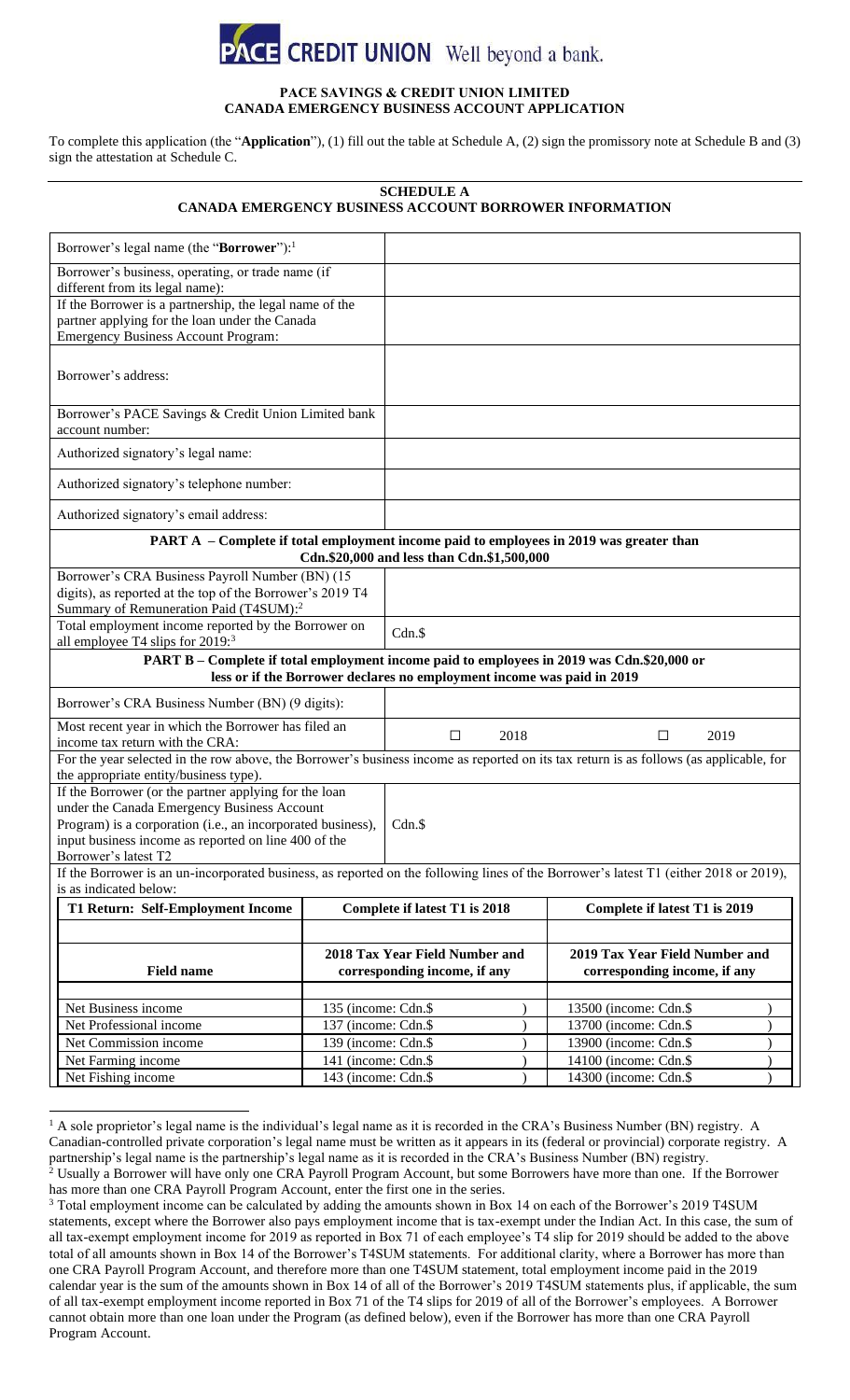

### **PACE SAVINGS & CREDIT UNION LIMITED CANADA EMERGENCY BUSINESS ACCOUNT APPLICATION**

To complete this application (the "**Application**"), (1) fill out the table at [Schedule A,](#page-0-0) (2) sign the promissory note at [Schedule B](#page-1-0) and (3) sign the attestation a[t Schedule C.](#page-4-0)

# **SCHEDULE A CANADA EMERGENCY BUSINESS ACCOUNT BORROWER INFORMATION**

<span id="page-0-0"></span>

| Borrower's legal name (the "Borrower"): <sup>1</sup>                                                                                                                                                                                                |                                                                |        |      |                                                                |
|-----------------------------------------------------------------------------------------------------------------------------------------------------------------------------------------------------------------------------------------------------|----------------------------------------------------------------|--------|------|----------------------------------------------------------------|
| Borrower's business, operating, or trade name (if<br>different from its legal name):                                                                                                                                                                |                                                                |        |      |                                                                |
| If the Borrower is a partnership, the legal name of the<br>partner applying for the loan under the Canada<br><b>Emergency Business Account Program:</b>                                                                                             |                                                                |        |      |                                                                |
| Borrower's address:                                                                                                                                                                                                                                 |                                                                |        |      |                                                                |
| Borrower's PACE Savings & Credit Union Limited bank<br>account number:                                                                                                                                                                              |                                                                |        |      |                                                                |
| Authorized signatory's legal name:                                                                                                                                                                                                                  |                                                                |        |      |                                                                |
| Authorized signatory's telephone number:                                                                                                                                                                                                            |                                                                |        |      |                                                                |
| Authorized signatory's email address:                                                                                                                                                                                                               |                                                                |        |      |                                                                |
| PART A – Complete if total employment income paid to employees in 2019 was greater than<br>Cdn.\$20,000 and less than Cdn.\$1,500,000                                                                                                               |                                                                |        |      |                                                                |
| Borrower's CRA Business Payroll Number (BN) (15<br>digits), as reported at the top of the Borrower's 2019 T4<br>Summary of Remuneration Paid (T4SUM): <sup>2</sup>                                                                                  |                                                                |        |      |                                                                |
| Total employment income reported by the Borrower on<br>all employee T4 slips for 2019: <sup>3</sup>                                                                                                                                                 |                                                                | Cdn.\$ |      |                                                                |
| PART B - Complete if total employment income paid to employees in 2019 was Cdn.\$20,000 or<br>less or if the Borrower declares no employment income was paid in 2019                                                                                |                                                                |        |      |                                                                |
| Borrower's CRA Business Number (BN) (9 digits):                                                                                                                                                                                                     |                                                                |        |      |                                                                |
| Most recent year in which the Borrower has filed an<br>income tax return with the CRA:                                                                                                                                                              |                                                                | $\Box$ | 2018 | 2019<br>□                                                      |
| For the year selected in the row above, the Borrower's business income as reported on its tax return is as follows (as applicable, for<br>the appropriate entity/business type).                                                                    |                                                                |        |      |                                                                |
| If the Borrower (or the partner applying for the loan<br>under the Canada Emergency Business Account<br>Program) is a corporation (i.e., an incorporated business),<br>input business income as reported on line 400 of the<br>Borrower's latest T2 |                                                                | Cdn.S  |      |                                                                |
| If the Borrower is an un-incorporated business, as reported on the following lines of the Borrower's latest T1 (either 2018 or 2019),<br>is as indicated below:                                                                                     |                                                                |        |      |                                                                |
| <b>T1 Return: Self-Employment Income</b>                                                                                                                                                                                                            | Complete if latest T1 is 2018                                  |        |      | Complete if latest T1 is 2019                                  |
|                                                                                                                                                                                                                                                     |                                                                |        |      |                                                                |
| <b>Field name</b>                                                                                                                                                                                                                                   | 2018 Tax Year Field Number and<br>corresponding income, if any |        |      | 2019 Tax Year Field Number and<br>corresponding income, if any |
| Net Business income                                                                                                                                                                                                                                 | 135 (income: Cdn.\$                                            |        |      | 13500 (income: Cdn.\$                                          |
| Net Professional income                                                                                                                                                                                                                             | 137 (income: Cdn.\$                                            |        |      | 13700 (income: Cdn.\$                                          |
| Net Commission income                                                                                                                                                                                                                               | 139 (income: Cdn.\$                                            |        |      | 13900 (income: Cdn.\$                                          |
| Net Farming income                                                                                                                                                                                                                                  | 141 (income: Cdn.\$                                            |        |      | 14100 (income: Cdn.\$                                          |
| Net Fishing income                                                                                                                                                                                                                                  | 143 (income: Cdn.\$                                            |        |      | 14300 (income: Cdn.\$                                          |

 $<sup>1</sup>$  A sole proprietor's legal name is the individual's legal name as it is recorded in the CRA's Business Number (BN) registry. A</sup> Canadian-controlled private corporation's legal name must be written as it appears in its (federal or provincial) corporate registry. A partnership's legal name is the partnership's legal name as it is recorded in the CRA's Business Number (BN) registry.  $2$  Usually a Borrower will have only one CRA Payroll Program Account, but some Borrowers have more than one. If the Borrower has more than one CRA Payroll Program Account, enter the first one in the series.

<sup>&</sup>lt;sup>3</sup> Total employment income can be calculated by adding the amounts shown in Box 14 on each of the Borrower's 2019 T4SUM statements, except where the Borrower also pays employment income that is tax-exempt under the Indian Act. In this case, the sum of all tax-exempt employment income for 2019 as reported in Box 71 of each employee's T4 slip for 2019 should be added to the above total of all amounts shown in Box 14 of the Borrower's T4SUM statements. For additional clarity, where a Borrower has more than one CRA Payroll Program Account, and therefore more than one T4SUM statement, total employment income paid in the 2019 calendar year is the sum of the amounts shown in Box 14 of all of the Borrower's 2019 T4SUM statements plus, if applicable, the sum of all tax-exempt employment income reported in Box 71 of the T4 slips for 2019 of all of the Borrower's employees. A Borrower cannot obtain more than one loan under the Program (as defined below), even if the Borrower has more than one CRA Payroll Program Account.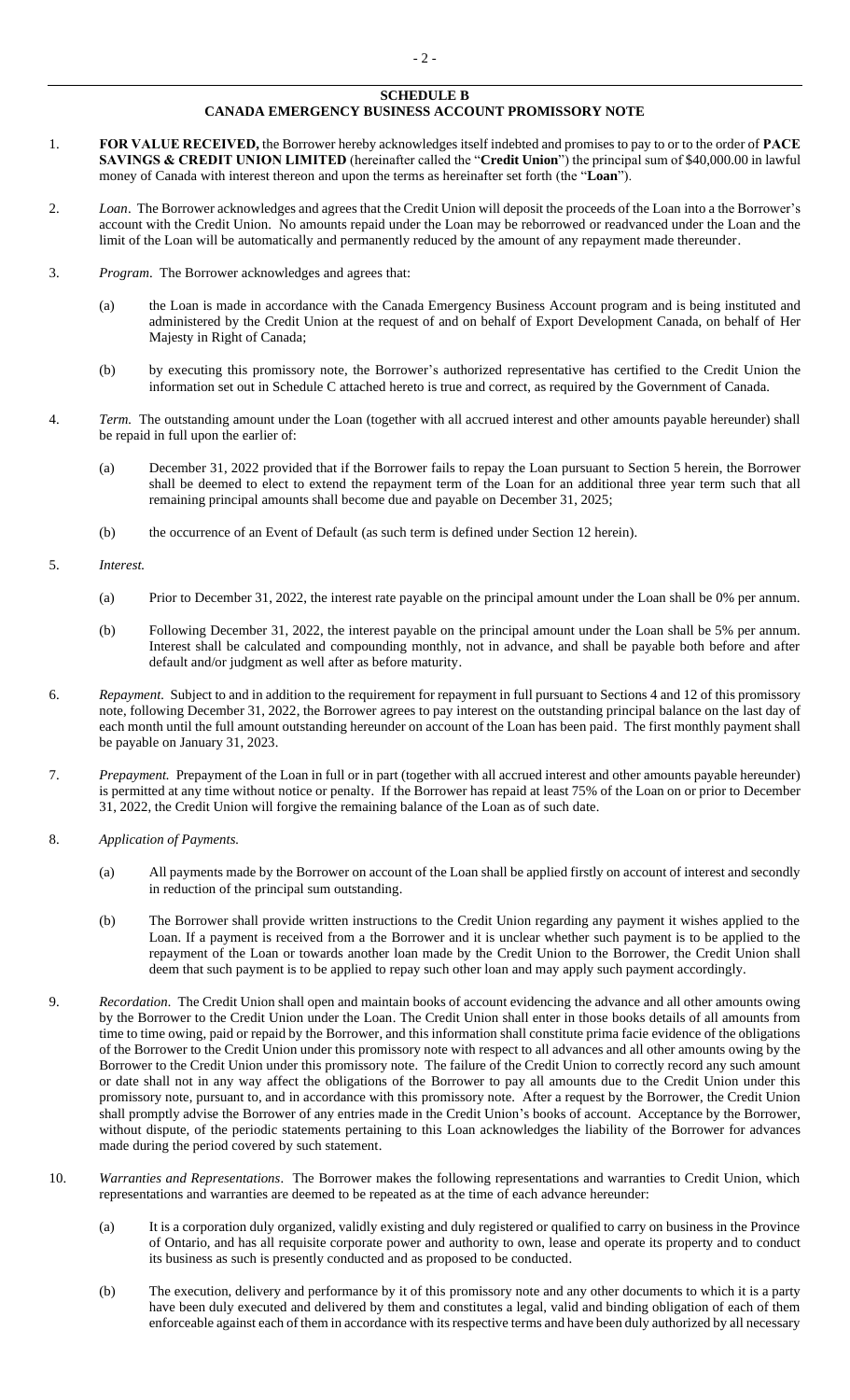### **SCHEDULE B CANADA EMERGENCY BUSINESS ACCOUNT PROMISSORY NOTE**

- <span id="page-1-0"></span>1. **FOR VALUE RECEIVED,** the Borrower hereby acknowledges itself indebted and promises to pay to or to the order of **PACE SAVINGS & CREDIT UNION LIMITED** (hereinafter called the "**Credit Union**") the principal sum of \$40,000.00 in lawful money of Canada with interest thereon and upon the terms as hereinafter set forth (the "**Loan**").
- 2. *Loan*. The Borrower acknowledges and agrees that the Credit Union will deposit the proceeds of the Loan into a the Borrower's account with the Credit Union. No amounts repaid under the Loan may be reborrowed or readvanced under the Loan and the limit of the Loan will be automatically and permanently reduced by the amount of any repayment made thereunder.
- 3. *Program*. The Borrower acknowledges and agrees that:
	- (a) the Loan is made in accordance with the Canada Emergency Business Account program and is being instituted and administered by the Credit Union at the request of and on behalf of Export Development Canada, on behalf of Her Majesty in Right of Canada;
	- (b) by executing this promissory note, the Borrower's authorized representative has certified to the Credit Union the information set out in Schedule [C](#page-4-0) attached hereto is true and correct, as required by the Government of Canada.
- <span id="page-1-2"></span>4. *Term.* The outstanding amount under the Loan (together with all accrued interest and other amounts payable hereunder) shall be repaid in full upon the earlier of:
	- (a) December 31, 2022 provided that if the Borrower fails to repay the Loan pursuant to Section [5](#page-1-1) herein, the Borrower shall be deemed to elect to extend the repayment term of the Loan for an additional three year term such that all remaining principal amounts shall become due and payable on December 31, 2025;
	- (b) the occurrence of an Event of Default (as such term is defined under Sectio[n 12](#page-2-0) herein).
- <span id="page-1-1"></span>5. *Interest.*
	- (a) Prior to December 31, 2022, the interest rate payable on the principal amount under the Loan shall be 0% per annum.
	- (b) Following December 31, 2022, the interest payable on the principal amount under the Loan shall be 5% per annum. Interest shall be calculated and compounding monthly, not in advance, and shall be payable both before and after default and/or judgment as well after as before maturity.
- 6. *Repayment.* Subject to and in addition to the requirement for repayment in full pursuant to Section[s 4](#page-1-2) an[d 12](#page-2-0) of this promissory note, following December 31, 2022, the Borrower agrees to pay interest on the outstanding principal balance on the last day of each month until the full amount outstanding hereunder on account of the Loan has been paid. The first monthly payment shall be payable on January 31, 2023.
- 7. *Prepayment.* Prepayment of the Loan in full or in part (together with all accrued interest and other amounts payable hereunder) is permitted at any time without notice or penalty. If the Borrower has repaid at least 75% of the Loan on or prior to December 31, 2022, the Credit Union will forgive the remaining balance of the Loan as of such date.
- 8. *Application of Payments.*
	- (a) All payments made by the Borrower on account of the Loan shall be applied firstly on account of interest and secondly in reduction of the principal sum outstanding.
	- (b) The Borrower shall provide written instructions to the Credit Union regarding any payment it wishes applied to the Loan. If a payment is received from a the Borrower and it is unclear whether such payment is to be applied to the repayment of the Loan or towards another loan made by the Credit Union to the Borrower, the Credit Union shall deem that such payment is to be applied to repay such other loan and may apply such payment accordingly.
- 9. *Recordation.* The Credit Union shall open and maintain books of account evidencing the advance and all other amounts owing by the Borrower to the Credit Union under the Loan. The Credit Union shall enter in those books details of all amounts from time to time owing, paid or repaid by the Borrower, and this information shall constitute prima facie evidence of the obligations of the Borrower to the Credit Union under this promissory note with respect to all advances and all other amounts owing by the Borrower to the Credit Union under this promissory note. The failure of the Credit Union to correctly record any such amount or date shall not in any way affect the obligations of the Borrower to pay all amounts due to the Credit Union under this promissory note, pursuant to, and in accordance with this promissory note. After a request by the Borrower, the Credit Union shall promptly advise the Borrower of any entries made in the Credit Union's books of account. Acceptance by the Borrower, without dispute, of the periodic statements pertaining to this Loan acknowledges the liability of the Borrower for advances made during the period covered by such statement.
- 10. *Warranties and Representations*. The Borrower makes the following representations and warranties to Credit Union, which representations and warranties are deemed to be repeated as at the time of each advance hereunder:
	- (a) It is a corporation duly organized, validly existing and duly registered or qualified to carry on business in the Province of Ontario, and has all requisite corporate power and authority to own, lease and operate its property and to conduct its business as such is presently conducted and as proposed to be conducted.
	- (b) The execution, delivery and performance by it of this promissory note and any other documents to which it is a party have been duly executed and delivered by them and constitutes a legal, valid and binding obligation of each of them enforceable against each of them in accordance with its respective terms and have been duly authorized by all necessary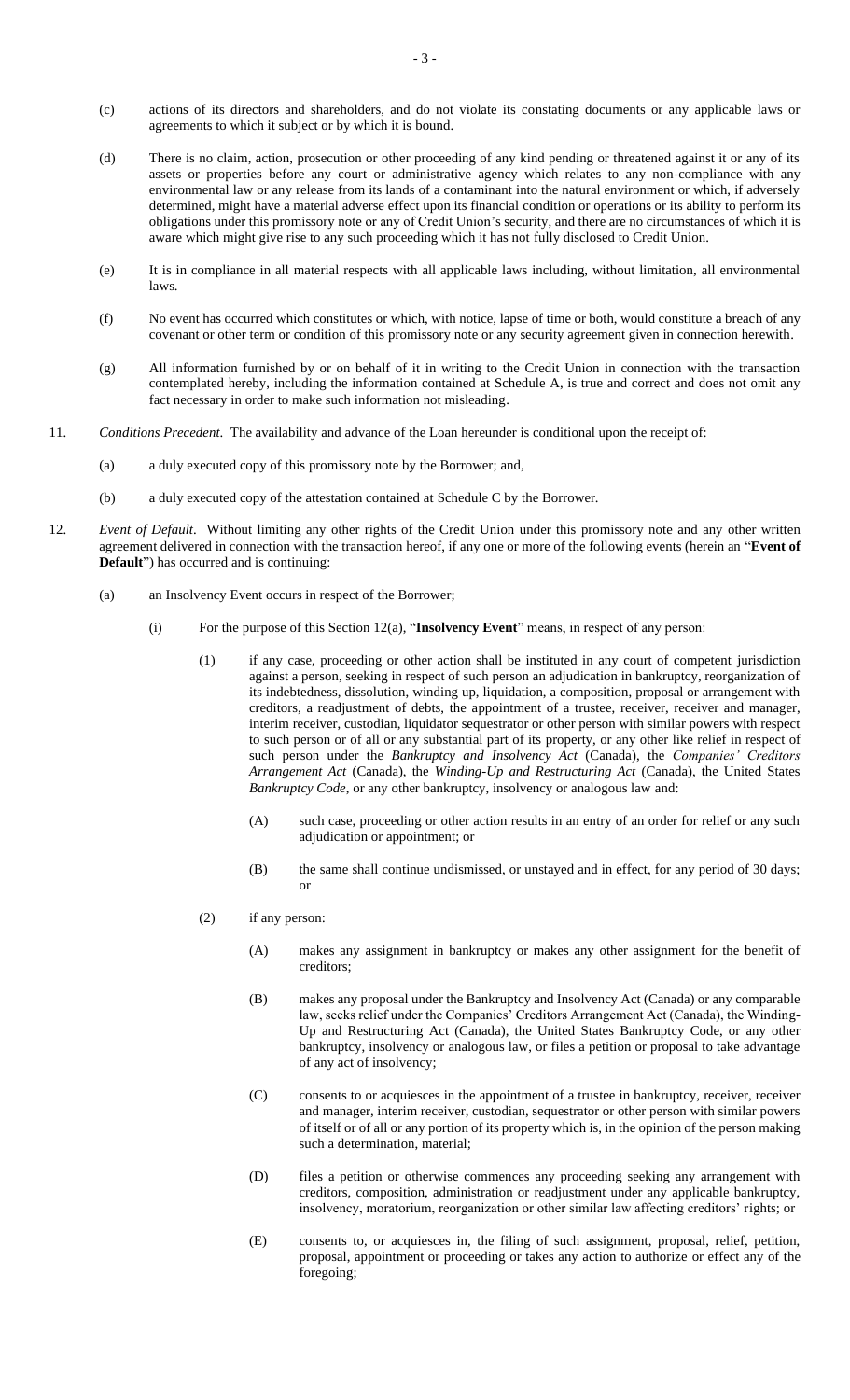- (c) actions of its directors and shareholders, and do not violate its constating documents or any applicable laws or agreements to which it subject or by which it is bound.
- (d) There is no claim, action, prosecution or other proceeding of any kind pending or threatened against it or any of its assets or properties before any court or administrative agency which relates to any non-compliance with any environmental law or any release from its lands of a contaminant into the natural environment or which, if adversely determined, might have a material adverse effect upon its financial condition or operations or its ability to perform its obligations under this promissory note or any of Credit Union's security, and there are no circumstances of which it is aware which might give rise to any such proceeding which it has not fully disclosed to Credit Union.
- (e) It is in compliance in all material respects with all applicable laws including, without limitation, all environmental laws.
- (f) No event has occurred which constitutes or which, with notice, lapse of time or both, would constitute a breach of any covenant or other term or condition of this promissory note or any security agreement given in connection herewith.
- (g) All information furnished by or on behalf of it in writing to the Credit Union in connection with the transaction contemplated hereby, including the information contained at [Schedule A,](#page-0-0) is true and correct and does not omit any fact necessary in order to make such information not misleading.
- 11. *Conditions Precedent*. The availability and advance of the Loan hereunder is conditional upon the receipt of:
	- (a) a duly executed copy of this promissory note by the Borrower; and,
	- (b) a duly executed copy of the attestation contained at [Schedule C](#page-4-1) by the Borrower.
- <span id="page-2-1"></span><span id="page-2-0"></span>12. *Event of Default*. Without limiting any other rights of the Credit Union under this promissory note and any other written agreement delivered in connection with the transaction hereof, if any one or more of the following events (herein an "**Event of Default**") has occurred and is continuing:
	- (a) an Insolvency Event occurs in respect of the Borrower;
		- (i) For the purpose of this Section [12\(a\),](#page-2-1) "**Insolvency Event**" means, in respect of any person:
			- (1) if any case, proceeding or other action shall be instituted in any court of competent jurisdiction against a person, seeking in respect of such person an adjudication in bankruptcy, reorganization of its indebtedness, dissolution, winding up, liquidation, a composition, proposal or arrangement with creditors, a readjustment of debts, the appointment of a trustee, receiver, receiver and manager, interim receiver, custodian, liquidator sequestrator or other person with similar powers with respect to such person or of all or any substantial part of its property, or any other like relief in respect of such person under the *Bankruptcy and Insolvency Act* (Canada), the *Companies' Creditors Arrangement Act* (Canada), the *Winding-Up and Restructuring Act* (Canada), the United States *Bankruptcy Code*, or any other bankruptcy, insolvency or analogous law and:
				- (A) such case, proceeding or other action results in an entry of an order for relief or any such adjudication or appointment; or
				- (B) the same shall continue undismissed, or unstayed and in effect, for any period of 30 days; or
			- (2) if any person:
				- (A) makes any assignment in bankruptcy or makes any other assignment for the benefit of creditors;
				- (B) makes any proposal under the Bankruptcy and Insolvency Act (Canada) or any comparable law, seeks relief under the Companies' Creditors Arrangement Act (Canada), the Winding-Up and Restructuring Act (Canada), the United States Bankruptcy Code, or any other bankruptcy, insolvency or analogous law, or files a petition or proposal to take advantage of any act of insolvency;
				- (C) consents to or acquiesces in the appointment of a trustee in bankruptcy, receiver, receiver and manager, interim receiver, custodian, sequestrator or other person with similar powers of itself or of all or any portion of its property which is, in the opinion of the person making such a determination, material;
				- (D) files a petition or otherwise commences any proceeding seeking any arrangement with creditors, composition, administration or readjustment under any applicable bankruptcy, insolvency, moratorium, reorganization or other similar law affecting creditors' rights; or
				- (E) consents to, or acquiesces in, the filing of such assignment, proposal, relief, petition, proposal, appointment or proceeding or takes any action to authorize or effect any of the foregoing;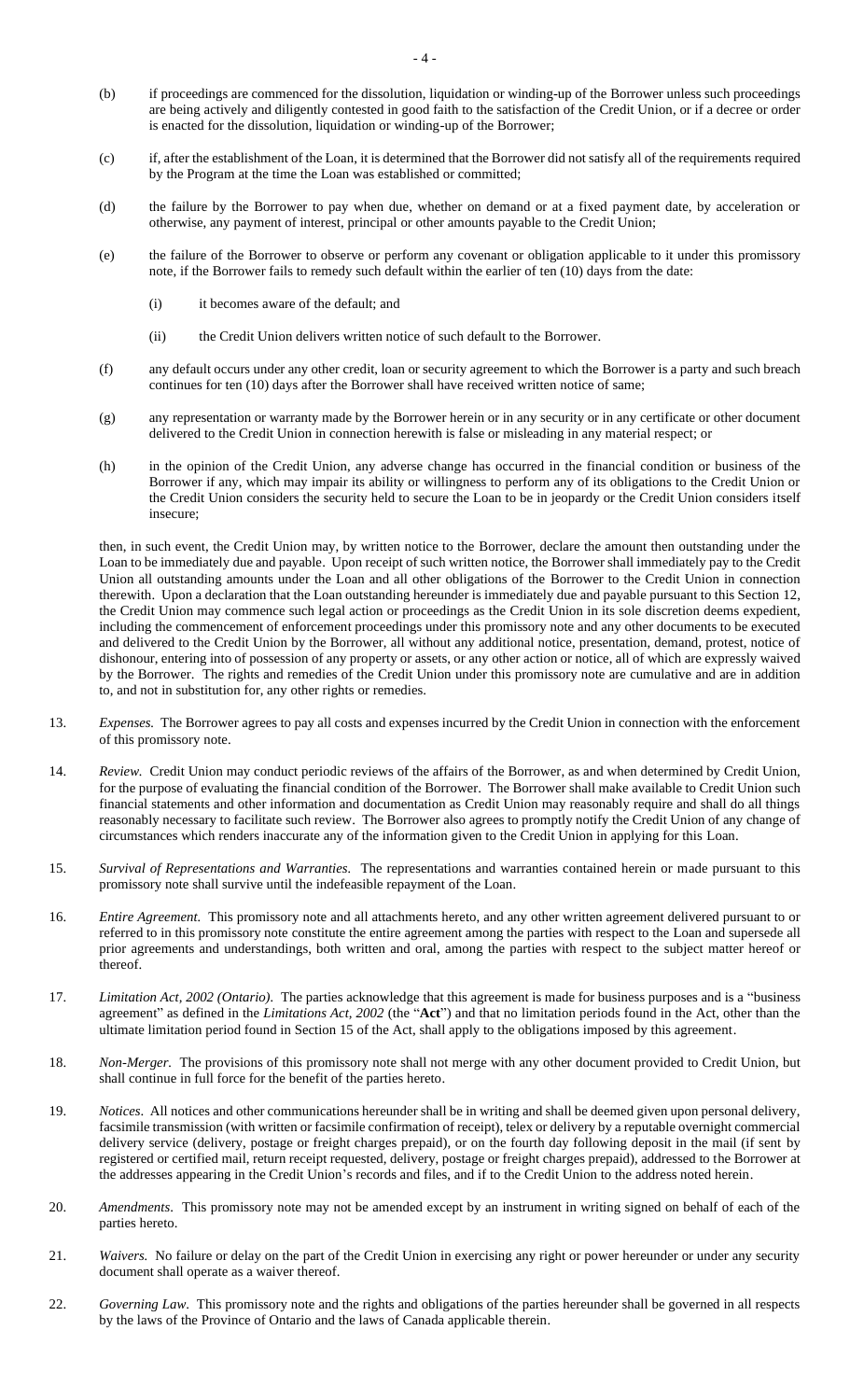- (b) if proceedings are commenced for the dissolution, liquidation or winding-up of the Borrower unless such proceedings are being actively and diligently contested in good faith to the satisfaction of the Credit Union, or if a decree or order is enacted for the dissolution, liquidation or winding-up of the Borrower;
- (c) if, after the establishment of the Loan, it is determined that the Borrower did not satisfy all of the requirements required by the Program at the time the Loan was established or committed;
- (d) the failure by the Borrower to pay when due, whether on demand or at a fixed payment date, by acceleration or otherwise, any payment of interest, principal or other amounts payable to the Credit Union;
- (e) the failure of the Borrower to observe or perform any covenant or obligation applicable to it under this promissory note, if the Borrower fails to remedy such default within the earlier of ten (10) days from the date:
	- (i) it becomes aware of the default; and
	- (ii) the Credit Union delivers written notice of such default to the Borrower.
- (f) any default occurs under any other credit, loan or security agreement to which the Borrower is a party and such breach continues for ten (10) days after the Borrower shall have received written notice of same;
- (g) any representation or warranty made by the Borrower herein or in any security or in any certificate or other document delivered to the Credit Union in connection herewith is false or misleading in any material respect; or
- (h) in the opinion of the Credit Union, any adverse change has occurred in the financial condition or business of the Borrower if any, which may impair its ability or willingness to perform any of its obligations to the Credit Union or the Credit Union considers the security held to secure the Loan to be in jeopardy or the Credit Union considers itself insecure;

then, in such event, the Credit Union may, by written notice to the Borrower, declare the amount then outstanding under the Loan to be immediately due and payable. Upon receipt of such written notice, the Borrower shall immediately pay to the Credit Union all outstanding amounts under the Loan and all other obligations of the Borrower to the Credit Union in connection therewith. Upon a declaration that the Loan outstanding hereunder is immediately due and payable pursuant to this Section [12,](#page-2-0) the Credit Union may commence such legal action or proceedings as the Credit Union in its sole discretion deems expedient, including the commencement of enforcement proceedings under this promissory note and any other documents to be executed and delivered to the Credit Union by the Borrower, all without any additional notice, presentation, demand, protest, notice of dishonour, entering into of possession of any property or assets, or any other action or notice, all of which are expressly waived by the Borrower. The rights and remedies of the Credit Union under this promissory note are cumulative and are in addition to, and not in substitution for, any other rights or remedies.

- 13. *Expenses.* The Borrower agrees to pay all costs and expenses incurred by the Credit Union in connection with the enforcement of this promissory note.
- 14. *Review.* Credit Union may conduct periodic reviews of the affairs of the Borrower, as and when determined by Credit Union, for the purpose of evaluating the financial condition of the Borrower. The Borrower shall make available to Credit Union such financial statements and other information and documentation as Credit Union may reasonably require and shall do all things reasonably necessary to facilitate such review. The Borrower also agrees to promptly notify the Credit Union of any change of circumstances which renders inaccurate any of the information given to the Credit Union in applying for this Loan.
- 15. *Survival of Representations and Warranties.* The representations and warranties contained herein or made pursuant to this promissory note shall survive until the indefeasible repayment of the Loan.
- 16. *Entire Agreement.* This promissory note and all attachments hereto, and any other written agreement delivered pursuant to or referred to in this promissory note constitute the entire agreement among the parties with respect to the Loan and supersede all prior agreements and understandings, both written and oral, among the parties with respect to the subject matter hereof or thereof.
- 17. *Limitation Act, 2002 (Ontario).* The parties acknowledge that this agreement is made for business purposes and is a "business agreement" as defined in the *Limitations Act, 2002* (the "**Act**") and that no limitation periods found in the Act, other than the ultimate limitation period found in Section 15 of the Act, shall apply to the obligations imposed by this agreement.
- 18. *Non-Merger.* The provisions of this promissory note shall not merge with any other document provided to Credit Union, but shall continue in full force for the benefit of the parties hereto.
- 19. *Notices*. All notices and other communications hereunder shall be in writing and shall be deemed given upon personal delivery, facsimile transmission (with written or facsimile confirmation of receipt), telex or delivery by a reputable overnight commercial delivery service (delivery, postage or freight charges prepaid), or on the fourth day following deposit in the mail (if sent by registered or certified mail, return receipt requested, delivery, postage or freight charges prepaid), addressed to the Borrower at the addresses appearing in the Credit Union's records and files, and if to the Credit Union to the address noted herein.
- 20. *Amendments*. This promissory note may not be amended except by an instrument in writing signed on behalf of each of the parties hereto.
- 21. *Waivers.* No failure or delay on the part of the Credit Union in exercising any right or power hereunder or under any security document shall operate as a waiver thereof.
- 22. *Governing Law*. This promissory note and the rights and obligations of the parties hereunder shall be governed in all respects by the laws of the Province of Ontario and the laws of Canada applicable therein.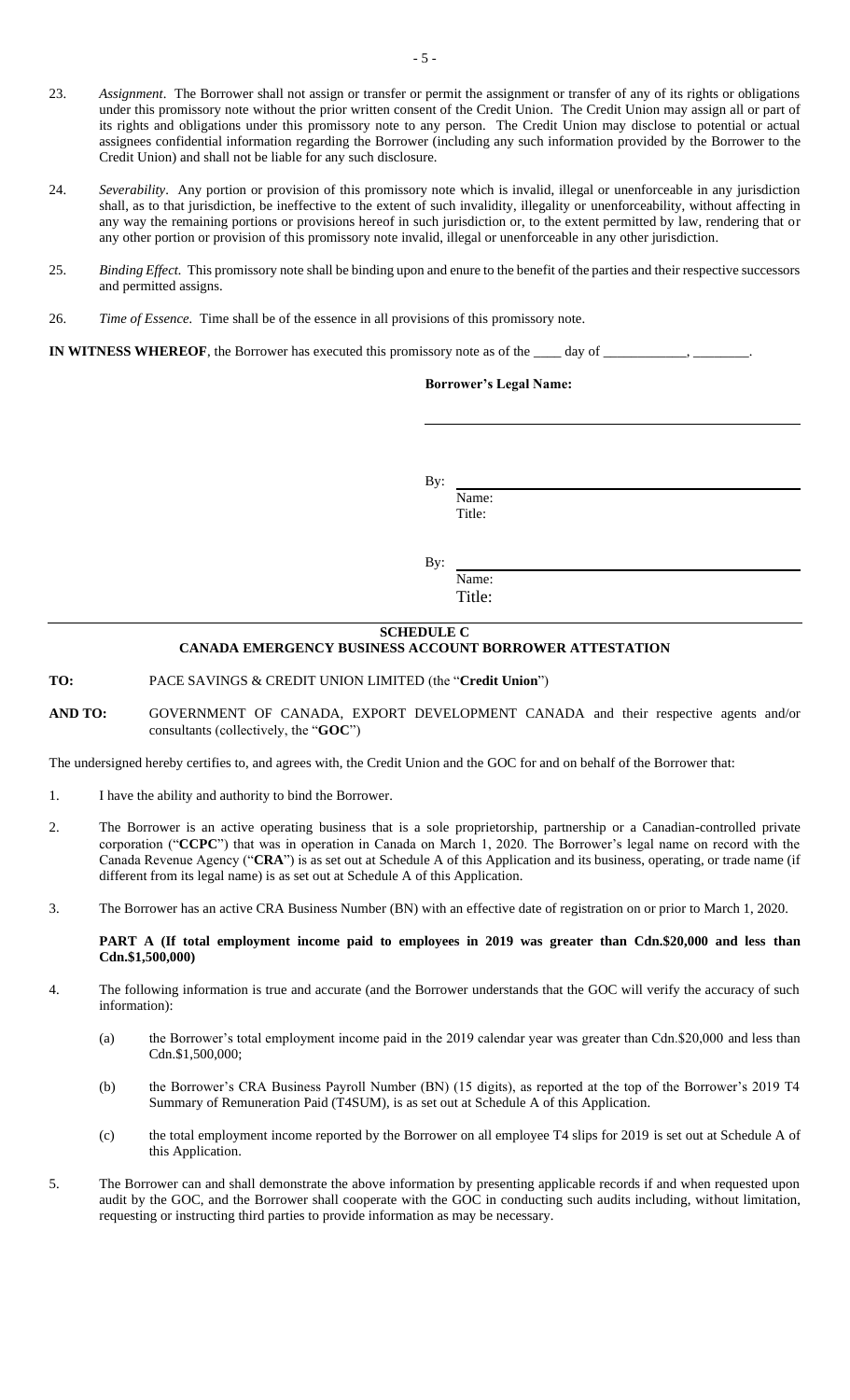- 23. *Assignment*. The Borrower shall not assign or transfer or permit the assignment or transfer of any of its rights or obligations under this promissory note without the prior written consent of the Credit Union. The Credit Union may assign all or part of its rights and obligations under this promissory note to any person. The Credit Union may disclose to potential or actual assignees confidential information regarding the Borrower (including any such information provided by the Borrower to the Credit Union) and shall not be liable for any such disclosure.
- 24. *Severability*. Any portion or provision of this promissory note which is invalid, illegal or unenforceable in any jurisdiction shall, as to that jurisdiction, be ineffective to the extent of such invalidity, illegality or unenforceability, without affecting in any way the remaining portions or provisions hereof in such jurisdiction or, to the extent permitted by law, rendering that or any other portion or provision of this promissory note invalid, illegal or unenforceable in any other jurisdiction.
- 25. *Binding Effect.* This promissory note shall be binding upon and enure to the benefit of the parties and their respective successors and permitted assigns.
- 26. *Time of Essence.* Time shall be of the essence in all provisions of this promissory note.

**IN WITNESS WHEREOF**, the Borrower has executed this promissory note as of the \_\_\_\_\_\_ day of \_\_\_\_\_\_\_

### **Borrower's Legal Name:**

By:

Name: Title:

By:

Name: Title:

## **SCHEDULE C CANADA EMERGENCY BUSINESS ACCOUNT BORROWER ATTESTATION**

<span id="page-4-1"></span><span id="page-4-0"></span>**TO:** PACE SAVINGS & CREDIT UNION LIMITED (the "**Credit Union**")

**AND TO:** GOVERNMENT OF CANADA, EXPORT DEVELOPMENT CANADA and their respective agents and/or consultants (collectively, the "**GOC**")

The undersigned hereby certifies to, and agrees with, the Credit Union and the GOC for and on behalf of the Borrower that:

- 1. I have the ability and authority to bind the Borrower.
- 2. The Borrower is an active operating business that is a sole proprietorship, partnership or a Canadian-controlled private corporation ("**CCPC**") that was in operation in Canada on March 1, 2020. The Borrower's legal name on record with the Canada Revenue Agency ("**CRA**") is as set out at [Schedule A](#page-0-0) of this Application and its business, operating, or trade name (if different from its legal name) is as set out at [Schedule A](#page-0-0) of this Application.
- 3. The Borrower has an active CRA Business Number (BN) with an effective date of registration on or prior to March 1, 2020.

#### **PART A (If total employment income paid to employees in 2019 was greater than Cdn.\$20,000 and less than Cdn.\$1,500,000)**

- 4. The following information is true and accurate (and the Borrower understands that the GOC will verify the accuracy of such information):
	- (a) the Borrower's total employment income paid in the 2019 calendar year was greater than Cdn.\$20,000 and less than Cdn.\$1,500,000;
	- (b) the Borrower's CRA Business Payroll Number (BN) (15 digits), as reported at the top of the Borrower's 2019 T4 Summary of Remuneration Paid (T4SUM), is as set out at [Schedule A](#page-0-0) of this Application.
	- (c) the total employment income reported by the Borrower on all employee T4 slips for 2019 is set out at [Schedule A](#page-0-0) of this Application.
- 5. The Borrower can and shall demonstrate the above information by presenting applicable records if and when requested upon audit by the GOC, and the Borrower shall cooperate with the GOC in conducting such audits including, without limitation, requesting or instructing third parties to provide information as may be necessary.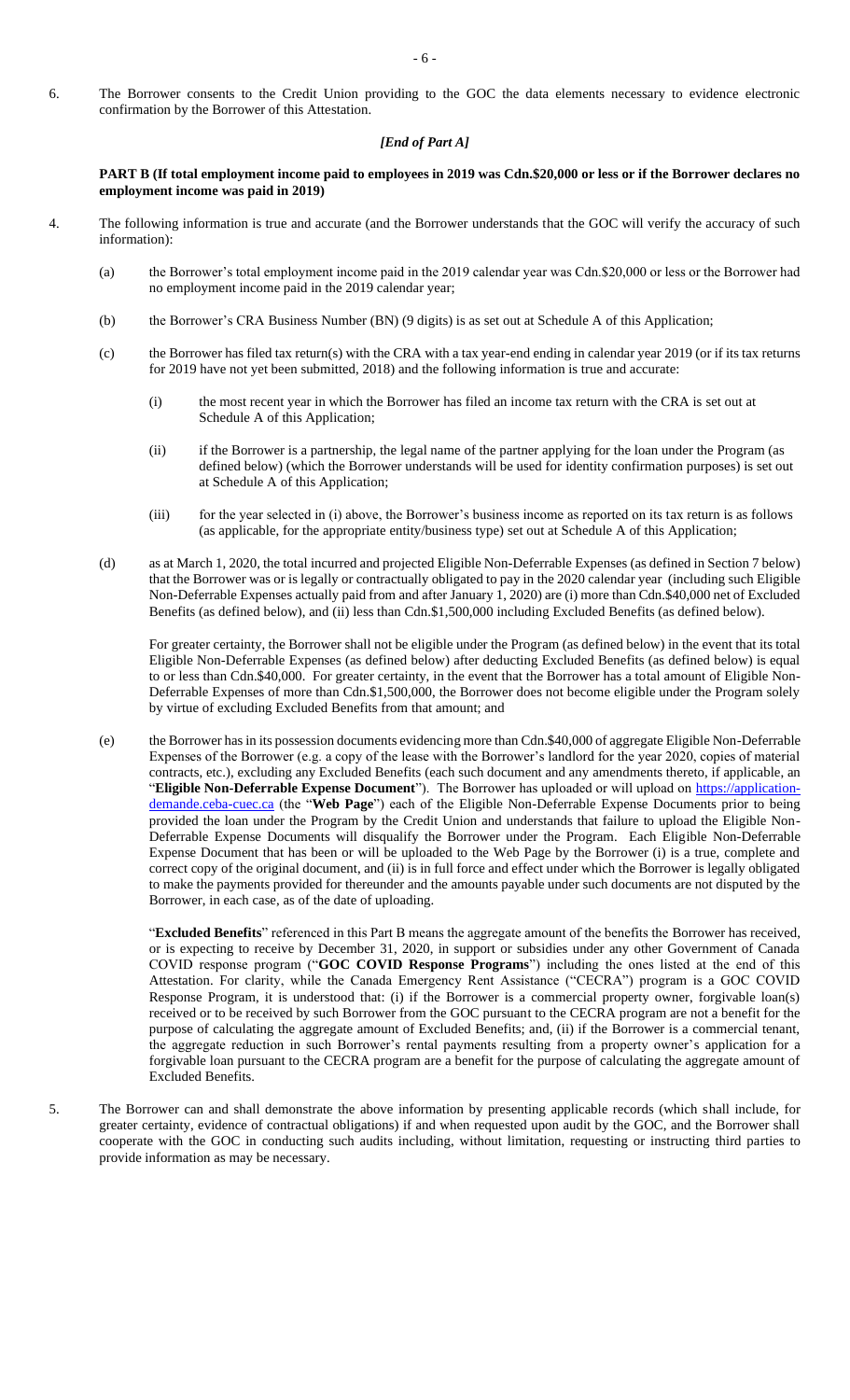6. The Borrower consents to the Credit Union providing to the GOC the data elements necessary to evidence electronic confirmation by the Borrower of this Attestation.

#### *[End of Part A]*

#### **PART B (If total employment income paid to employees in 2019 was Cdn.\$20,000 or less or if the Borrower declares no employment income was paid in 2019)**

- 4. The following information is true and accurate (and the Borrower understands that the GOC will verify the accuracy of such information):
	- (a) the Borrower's total employment income paid in the 2019 calendar year was Cdn.\$20,000 or less or the Borrower had no employment income paid in the 2019 calendar year;
	- (b) the Borrower's CRA Business Number (BN) (9 digits) is as set out at [Schedule A](#page-0-0) of this Application;
	- (c) the Borrower has filed tax return(s) with the CRA with a tax year-end ending in calendar year 2019 (or if its tax returns for 2019 have not yet been submitted, 2018) and the following information is true and accurate:
		- (i) the most recent year in which the Borrower has filed an income tax return with the CRA is set out at [Schedule A](#page-0-0) of this Application;
		- (ii) if the Borrower is a partnership, the legal name of the partner applying for the loan under the Program (as defined below) (which the Borrower understands will be used for identity confirmation purposes) is set out at [Schedule A](#page-0-0) of this Application;
		- (iii) for the year selected in (i) above, the Borrower's business income as reported on its tax return is as follows (as applicable, for the appropriate entity/business type) set out at [Schedule A](#page-0-0) of this Application;
	- (d) as at March 1, 2020, the total incurred and projected Eligible Non-Deferrable Expenses (as defined in Section 7 below) that the Borrower was or is legally or contractually obligated to pay in the 2020 calendar year (including such Eligible Non-Deferrable Expenses actually paid from and after January 1, 2020) are (i) more than Cdn.\$40,000 net of Excluded Benefits (as defined below), and (ii) less than Cdn.\$1,500,000 including Excluded Benefits (as defined below).

For greater certainty, the Borrower shall not be eligible under the Program (as defined below) in the event that its total Eligible Non-Deferrable Expenses (as defined below) after deducting Excluded Benefits (as defined below) is equal to or less than Cdn.\$40,000. For greater certainty, in the event that the Borrower has a total amount of Eligible Non-Deferrable Expenses of more than Cdn.\$1,500,000, the Borrower does not become eligible under the Program solely by virtue of excluding Excluded Benefits from that amount; and

(e) the Borrower has in its possession documents evidencing more than Cdn.\$40,000 of aggregate Eligible Non-Deferrable Expenses of the Borrower (e.g. a copy of the lease with the Borrower's landlord for the year 2020, copies of material contracts, etc.), excluding any Excluded Benefits (each such document and any amendments thereto, if applicable, an "**Eligible Non-Deferrable Expense Document**"). The Borrower has uploaded or will upload on [https://application](https://application-demande.ceba-cuec.ca/)[demande.ceba-cuec.ca](https://application-demande.ceba-cuec.ca/) (the "**Web Page**") each of the Eligible Non-Deferrable Expense Documents prior to being provided the loan under the Program by the Credit Union and understands that failure to upload the Eligible Non-Deferrable Expense Documents will disqualify the Borrower under the Program. Each Eligible Non-Deferrable Expense Document that has been or will be uploaded to the Web Page by the Borrower (i) is a true, complete and correct copy of the original document, and (ii) is in full force and effect under which the Borrower is legally obligated to make the payments provided for thereunder and the amounts payable under such documents are not disputed by the Borrower, in each case, as of the date of uploading.

"**Excluded Benefits**" referenced in this Part B means the aggregate amount of the benefits the Borrower has received, or is expecting to receive by December 31, 2020, in support or subsidies under any other Government of Canada COVID response program ("**GOC COVID Response Programs**") including the ones listed at the end of this Attestation. For clarity, while the Canada Emergency Rent Assistance ("CECRA") program is a GOC COVID Response Program, it is understood that: (i) if the Borrower is a commercial property owner, forgivable loan(s) received or to be received by such Borrower from the GOC pursuant to the CECRA program are not a benefit for the purpose of calculating the aggregate amount of Excluded Benefits; and, (ii) if the Borrower is a commercial tenant, the aggregate reduction in such Borrower's rental payments resulting from a property owner's application for a forgivable loan pursuant to the CECRA program are a benefit for the purpose of calculating the aggregate amount of Excluded Benefits.

5. The Borrower can and shall demonstrate the above information by presenting applicable records (which shall include, for greater certainty, evidence of contractual obligations) if and when requested upon audit by the GOC, and the Borrower shall cooperate with the GOC in conducting such audits including, without limitation, requesting or instructing third parties to provide information as may be necessary.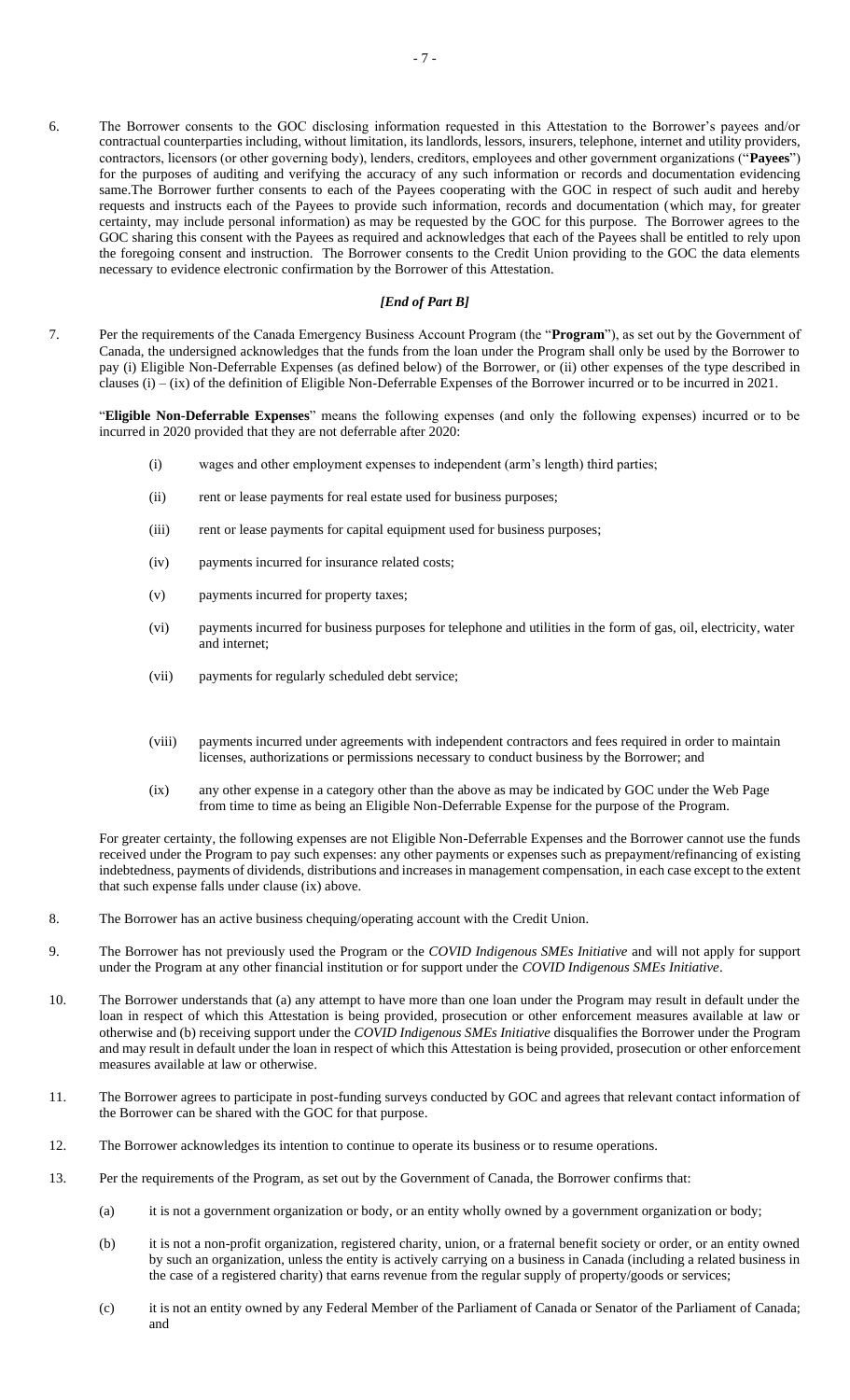6. The Borrower consents to the GOC disclosing information requested in this Attestation to the Borrower's payees and/or contractual counterparties including, without limitation, its landlords, lessors, insurers, telephone, internet and utility providers, contractors, licensors (or other governing body), lenders, creditors, employees and other government organizations ("**Payees**") for the purposes of auditing and verifying the accuracy of any such information or records and documentation evidencing same.The Borrower further consents to each of the Payees cooperating with the GOC in respect of such audit and hereby requests and instructs each of the Payees to provide such information, records and documentation (which may, for greater certainty, may include personal information) as may be requested by the GOC for this purpose. The Borrower agrees to the GOC sharing this consent with the Payees as required and acknowledges that each of the Payees shall be entitled to rely upon the foregoing consent and instruction. The Borrower consents to the Credit Union providing to the GOC the data elements necessary to evidence electronic confirmation by the Borrower of this Attestation.

## *[End of Part B]*

7. Per the requirements of the Canada Emergency Business Account Program (the "**Program**"), as set out by the Government of Canada, the undersigned acknowledges that the funds from the loan under the Program shall only be used by the Borrower to pay (i) Eligible Non-Deferrable Expenses (as defined below) of the Borrower, or (ii) other expenses of the type described in clauses  $(i) - (ix)$  of the definition of Eligible Non-Deferrable Expenses of the Borrower incurred or to be incurred in 2021.

"**Eligible Non-Deferrable Expenses**" means the following expenses (and only the following expenses) incurred or to be incurred in 2020 provided that they are not deferrable after 2020:

- (i) wages and other employment expenses to independent (arm's length) third parties;
- (ii) rent or lease payments for real estate used for business purposes;
- (iii) rent or lease payments for capital equipment used for business purposes;
- (iv) payments incurred for insurance related costs;
- (v) payments incurred for property taxes;
- (vi) payments incurred for business purposes for telephone and utilities in the form of gas, oil, electricity, water and internet;
- (vii) payments for regularly scheduled debt service;
- (viii) payments incurred under agreements with independent contractors and fees required in order to maintain licenses, authorizations or permissions necessary to conduct business by the Borrower; and
- (ix) any other expense in a category other than the above as may be indicated by GOC under the Web Page from time to time as being an Eligible Non-Deferrable Expense for the purpose of the Program.

For greater certainty, the following expenses are not Eligible Non-Deferrable Expenses and the Borrower cannot use the funds received under the Program to pay such expenses: any other payments or expenses such as prepayment/refinancing of existing indebtedness, payments of dividends, distributions and increases in management compensation, in each case except to the extent that such expense falls under clause (ix) above.

- 8. The Borrower has an active business chequing/operating account with the Credit Union.
- 9. The Borrower has not previously used the Program or the *COVID Indigenous SMEs Initiative* and will not apply for support under the Program at any other financial institution or for support under the *COVID Indigenous SMEs Initiative*.
- 10. The Borrower understands that (a) any attempt to have more than one loan under the Program may result in default under the loan in respect of which this Attestation is being provided, prosecution or other enforcement measures available at law or otherwise and (b) receiving support under the *COVID Indigenous SMEs Initiative* disqualifies the Borrower under the Program and may result in default under the loan in respect of which this Attestation is being provided, prosecution or other enforcement measures available at law or otherwise.
- 11. The Borrower agrees to participate in post-funding surveys conducted by GOC and agrees that relevant contact information of the Borrower can be shared with the GOC for that purpose.
- 12. The Borrower acknowledges its intention to continue to operate its business or to resume operations.
- 13. Per the requirements of the Program, as set out by the Government of Canada, the Borrower confirms that:
	- (a) it is not a government organization or body, or an entity wholly owned by a government organization or body;
	- (b) it is not a non-profit organization, registered charity, union, or a fraternal benefit society or order, or an entity owned by such an organization, unless the entity is actively carrying on a business in Canada (including a related business in the case of a registered charity) that earns revenue from the regular supply of property/goods or services;
	- (c) it is not an entity owned by any Federal Member of the Parliament of Canada or Senator of the Parliament of Canada; and